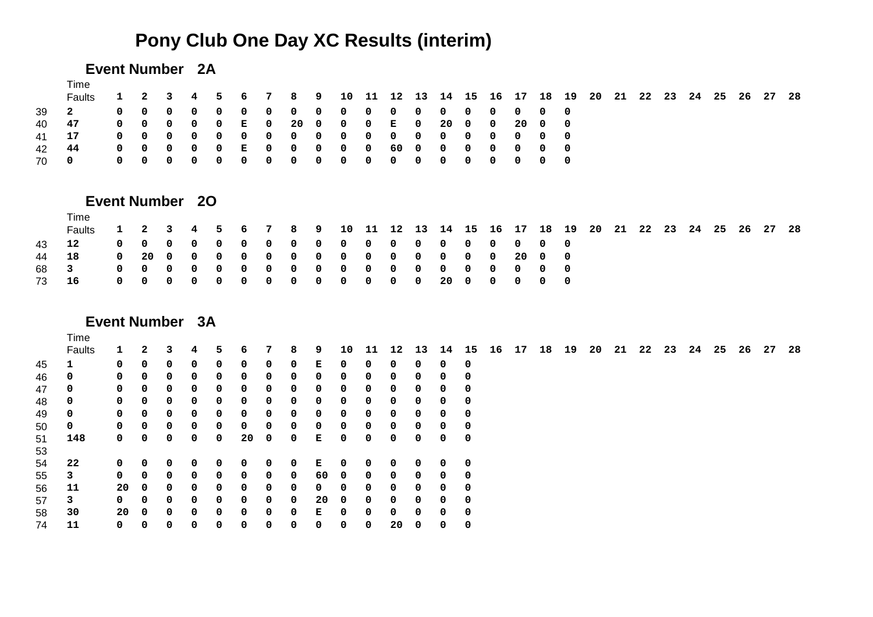# **Pony Club One Day XC Results (interim)**

# **Event Number 2A**

|       | Time<br><b>Faults</b> |  |  |  |  |                                          |  |  |  |  |  |  |  |  | 1  2  3  4  5  6  7  8  9  10  11  12  13  14  15  16  17  18  19  20  21  22  23  24  25  26  27  28 |  |
|-------|-----------------------|--|--|--|--|------------------------------------------|--|--|--|--|--|--|--|--|-------------------------------------------------------------------------------------------------------|--|
| 39 2  |                       |  |  |  |  |                                          |  |  |  |  |  |  |  |  |                                                                                                       |  |
| 40 47 |                       |  |  |  |  | 0 0 0 0 0 E 0 20 0 0 0 E 0 20 0 0 20 0 0 |  |  |  |  |  |  |  |  |                                                                                                       |  |
| 41 17 |                       |  |  |  |  |                                          |  |  |  |  |  |  |  |  |                                                                                                       |  |
| 42 44 |                       |  |  |  |  |                                          |  |  |  |  |  |  |  |  |                                                                                                       |  |
| 700   |                       |  |  |  |  |                                          |  |  |  |  |  |  |  |  |                                                                                                       |  |

# **Event Number 2O**

|       | <b>Fime</b>                           |  |  |  |                                                                                                       |  |  |  |  |  |  |  |  |  |  |  |
|-------|---------------------------------------|--|--|--|-------------------------------------------------------------------------------------------------------|--|--|--|--|--|--|--|--|--|--|--|
|       | <b>Faults</b>                         |  |  |  | 1  2  3  4  5  6  7  8  9  10  11  12  13  14  15  16  17  18  19  20  21  22  23  24  25  26  27  28 |  |  |  |  |  |  |  |  |  |  |  |
| 43 12 |                                       |  |  |  |                                                                                                       |  |  |  |  |  |  |  |  |  |  |  |
| 44 18 |                                       |  |  |  | 0 20 0 0 0 0 0 0 0 0 0 0 0 0 0 20 0 0                                                                 |  |  |  |  |  |  |  |  |  |  |  |
|       | 68 3                                  |  |  |  |                                                                                                       |  |  |  |  |  |  |  |  |  |  |  |
|       | 73 16 00 00 00 00 00 00 00 20 00 00 0 |  |  |  |                                                                                                       |  |  |  |  |  |  |  |  |  |  |  |
|       |                                       |  |  |  |                                                                                                       |  |  |  |  |  |  |  |  |  |  |  |

# **Event Number 3A**

|    | Time   |    |              |              |   |    |    |   |   |    |    |    |    |    |    |    |       |    |    |    |    |    |    |    |      |    |      |      |
|----|--------|----|--------------|--------------|---|----|----|---|---|----|----|----|----|----|----|----|-------|----|----|----|----|----|----|----|------|----|------|------|
|    | Faults | 1  |              | з            | 4 | 5. | 6  |   | 8 | 9  | 10 | 11 | 12 | 13 | 14 | 15 | 16 17 | 18 | 19 | 20 | 21 | 22 | 23 | 24 | - 25 | 26 | - 27 | - 28 |
| 45 |        | 0  | 0            | <sup>0</sup> | 0 | 0  | 0  | 0 | 0 | Е  | 0  | 0  | 0  | 0  | 0  | 0  |       |    |    |    |    |    |    |    |      |    |      |      |
| 46 | 0      | 0  | 0            | 0            | 0 | 0  | 0  | 0 | 0 | 0  | 0  | 0  | 0  | 0  | 0  | 0  |       |    |    |    |    |    |    |    |      |    |      |      |
| 47 | 0      | 0  | 0            | 0            | 0 | 0  | 0  | 0 | 0 | 0  | 0  | 0  | 0  | 0  | 0  | 0  |       |    |    |    |    |    |    |    |      |    |      |      |
| 48 | 0      | 0  | 0            | $\Omega$     | 0 | 0  | 0  | 0 | 0 | 0  | 0  | 0  | 0  | 0  | 0  | 0  |       |    |    |    |    |    |    |    |      |    |      |      |
| 49 | 0      | 0  | 0            | 0            | 0 | 0  | 0  | 0 | 0 | 0  | 0  | 0  | 0  | 0  | 0  | 0  |       |    |    |    |    |    |    |    |      |    |      |      |
| 50 | 0      | 0  | 0            | 0            | 0 | 0  | 0  | 0 | 0 | 0  | 0  | 0  | 0  | 0  | 0  | 0  |       |    |    |    |    |    |    |    |      |    |      |      |
| 51 | 148    | 0  | $\mathbf{0}$ | 0            | 0 | 0  | 20 | 0 | 0 | Е  | 0  | 0  | 0  | 0  | 0  | 0  |       |    |    |    |    |    |    |    |      |    |      |      |
| 53 |        |    |              |              |   |    |    |   |   |    |    |    |    |    |    |    |       |    |    |    |    |    |    |    |      |    |      |      |
| 54 | 22     | 0  | 0            | 0            | 0 | 0  | 0  | 0 | 0 | Е  | 0  | 0  | 0  | 0  | 0  | 0  |       |    |    |    |    |    |    |    |      |    |      |      |
| 55 | 3      | 0  | 0            | 0            | 0 | 0  | 0  | 0 | 0 | 60 | 0  | 0  | 0  | 0  | 0  | 0  |       |    |    |    |    |    |    |    |      |    |      |      |
| 56 | 11     | 20 | 0            | 0            | 0 | 0  | 0  | 0 | 0 | 0  | 0  | 0  | 0  | 0  | 0  | 0  |       |    |    |    |    |    |    |    |      |    |      |      |
| 57 | 3      | 0  | $\Omega$     | 0            | 0 | 0  | 0  | 0 | 0 | 20 | 0  | 0  | 0  | 0  | 0  | 0  |       |    |    |    |    |    |    |    |      |    |      |      |
| 58 | 30     | 20 | 0            | 0            | 0 | 0  | 0  | 0 | 0 | Е  | 0  | 0  | 0  | 0  | 0  | 0  |       |    |    |    |    |    |    |    |      |    |      |      |
| 74 | 11     | 0  | 0            | 0            | 0 | 0  | 0  | 0 | 0 | 0  | 0  | 0  | 20 | 0  | 0  | 0  |       |    |    |    |    |    |    |    |      |    |      |      |
|    |        |    |              |              |   |    |    |   |   |    |    |    |    |    |    |    |       |    |    |    |    |    |    |    |      |    |      |      |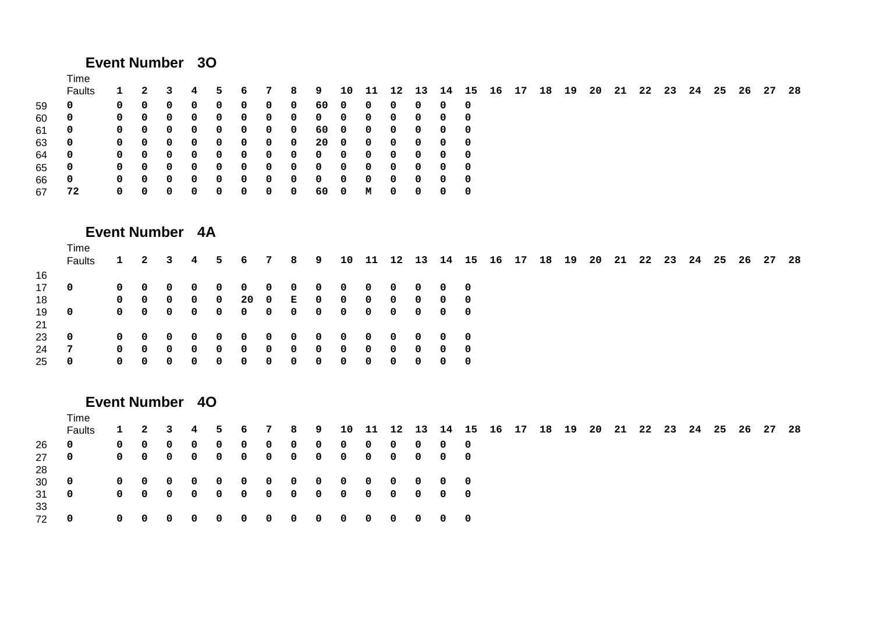# **Event Number 3O**

#### Time

|     | <b>Faults</b>           |              |            |                                 |           |            | 1 2 3 4 5 6 7 8 9 10 11 12 13 14 15 16 17 18 19 20 21 22 23 24 25 26 27 28 |                         |                                 |  |              |                                                  |  |  |  |  |  |  |  |
|-----|-------------------------|--------------|------------|---------------------------------|-----------|------------|----------------------------------------------------------------------------|-------------------------|---------------------------------|--|--------------|--------------------------------------------------|--|--|--|--|--|--|--|
| 59  | 0                       | $\mathbf{0}$ | - 0        | $0\quad 0$                      | $\bullet$ |            | 0 0 0 60 0 0 0                                                             |                         |                                 |  |              | $0\quad 0\quad 0$                                |  |  |  |  |  |  |  |
| 60  | - 0                     |              |            |                                 |           |            |                                                                            |                         |                                 |  |              | $\begin{matrix}0&0&0\end{matrix}$                |  |  |  |  |  |  |  |
| -61 | $\overline{\mathbf{0}}$ |              | $0\quad 0$ | $0\quad 0\quad 0$               |           |            | 0 0 0 60 0 0 0                                                             |                         |                                 |  |              | $0\quad 0\quad 0$                                |  |  |  |  |  |  |  |
| 63  | $\overline{\mathbf{0}}$ |              |            |                                 |           |            | 0 0 0 0 0 0 0 0 20 0 0 0                                                   |                         |                                 |  |              | $0\quad 0\quad 0$                                |  |  |  |  |  |  |  |
| 64  | $\overline{\mathbf{0}}$ |              |            |                                 |           |            |                                                                            |                         |                                 |  |              | $\begin{matrix}0&0&0\end{matrix}$                |  |  |  |  |  |  |  |
| 65  | $\overline{\mathbf{0}}$ |              |            |                                 |           |            |                                                                            |                         |                                 |  |              | $\begin{matrix}0&0&0\end{matrix}$                |  |  |  |  |  |  |  |
| 66  | - 0                     |              | $0\quad 0$ | $0\quad 0$                      | $\bullet$ | $0\quad 0$ |                                                                            |                         | $0\quad 0\quad 0\quad 0\quad 0$ |  |              | $0\quad 0\quad 0$                                |  |  |  |  |  |  |  |
| 67  | -72                     |              | $0\quad 0$ | $\begin{matrix}0&0\end{matrix}$ | <b>O</b>  |            | $0\quad 0$                                                                 | $\overline{\mathbf{0}}$ | 600 M O                         |  | $\mathbf{0}$ | $\begin{array}{ccc} & & 0 & \quad 0 \end{array}$ |  |  |  |  |  |  |  |
|     |                         |              |            |                                 |           |            |                                                                            |                         |                                 |  |              |                                                  |  |  |  |  |  |  |  |

### **Event Number 4A**

|          | Time<br>Faults |              |                   |  |             | 1 2 3 4 5 6 7 8 9 10 11 12 13 14 15 16 17 18 19 20 21 22 23 24 25 26 27 28 |  |            |                      |                         |     |     |                                            |  |  |  |  |  |  |  |
|----------|----------------|--------------|-------------------|--|-------------|----------------------------------------------------------------------------|--|------------|----------------------|-------------------------|-----|-----|--------------------------------------------|--|--|--|--|--|--|--|
| 16       |                |              |                   |  |             |                                                                            |  |            |                      |                         |     |     |                                            |  |  |  |  |  |  |  |
| 17       | 0              |              | $0\quad 0\quad 0$ |  |             | 0 0 0 0 0 0 0 0 0 0 0 0                                                    |  |            |                      |                         |     |     |                                            |  |  |  |  |  |  |  |
| 18       |                |              | $0\quad 0\quad 0$ |  | $0\qquad 0$ |                                                                            |  |            | 20 0 E 0 0 0 0 0 0 0 |                         |     |     |                                            |  |  |  |  |  |  |  |
| 19<br>21 | - 0            |              |                   |  |             |                                                                            |  |            |                      |                         |     |     | $\begin{array}{ccc} & & & 0 & \end{array}$ |  |  |  |  |  |  |  |
| 23       | 0              | $\mathbf{0}$ | $0\quad 0$        |  |             | 0 0 0 0 0 0 0 0 0 0 0 0                                                    |  |            |                      |                         |     |     |                                            |  |  |  |  |  |  |  |
| 24       | -7             |              | $0\quad 0\quad 0$ |  |             | $0$ 0 0 0 0 0 0 0 0 0                                                      |  |            |                      |                         |     |     | $\begin{array}{ccc} & 0 & 0 \end{array}$   |  |  |  |  |  |  |  |
| 25       | 0              | $\mathbf{0}$ | $0\quad 0$        |  |             | $0\quad 0\quad 0\quad 0\quad 0$                                            |  | $0\quad 0$ |                      | $\overline{\mathbf{0}}$ | - 0 | - 0 | $0\quad 0$                                 |  |  |  |  |  |  |  |
|          |                |              |                   |  |             |                                                                            |  |            |                      |                         |     |     |                                            |  |  |  |  |  |  |  |

### **Event Number 4O**

|            | Time          |                   |  |                                                                         |  |  |  |  |  |  |  |  |  |  |  |    |
|------------|---------------|-------------------|--|-------------------------------------------------------------------------|--|--|--|--|--|--|--|--|--|--|--|----|
|            | <b>Faults</b> |                   |  | 1 2 3 4 5 6 7 8 9 10 11 12 13 14 15 16 17 18 19 20 21 22 23 24 25 26 27 |  |  |  |  |  |  |  |  |  |  |  | 28 |
| -26        | $\mathbf{0}$  | $0\quad 0\quad 0$ |  | 0 0 0 0 0 0 0 0 0 0 0 0                                                 |  |  |  |  |  |  |  |  |  |  |  |    |
| 28         | 27 0          |                   |  |                                                                         |  |  |  |  |  |  |  |  |  |  |  |    |
| 30 L       | - 0           |                   |  | 0 0 0 0 0 0 0 0 0 0 0 0 0 0 0                                           |  |  |  |  |  |  |  |  |  |  |  |    |
| 31 0<br>33 |               |                   |  |                                                                         |  |  |  |  |  |  |  |  |  |  |  |    |
| 72         | <b>O</b>      |                   |  |                                                                         |  |  |  |  |  |  |  |  |  |  |  |    |